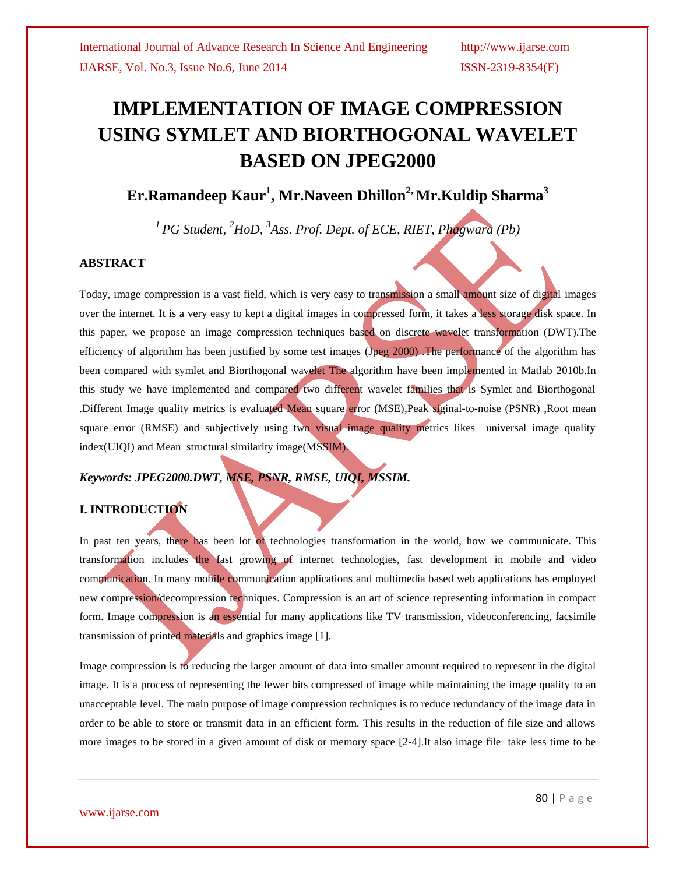# **IMPLEMENTATION OF IMAGE COMPRESSION USING SYMLET AND BIORTHOGONAL WAVELET BASED ON JPEG2000**

**Er.Ramandeep Kaur<sup>1</sup> , Mr.Naveen Dhillon2, Mr.Kuldip Sharma<sup>3</sup>**

*<sup>1</sup>PG Student, <sup>2</sup>HoD, 3 Ass. Prof. Dept. of ECE, RIET, Phagwara (Pb)*

#### **ABSTRACT**

Today, image compression is a vast field, which is very easy to transmission a small amount size of digital images over the internet. It is a very easy to kept a digital images in compressed form, it takes a less storage disk space. In this paper, we propose an image compression techniques based on discrete wavelet transformation (DWT).The efficiency of algorithm has been justified by some test images (Jpeg 2000) .The performance of the algorithm has been compared with symlet and Biorthogonal wavelet The algorithm have been implemented in Matlab 2010b.In this study we have implemented and compared two different wavelet families that is Symlet and Biorthogonal .Different Image quality metrics is evaluated Mean square error (MSE),Peak siginal-to-noise (PSNR) ,Root mean square error (RMSE) and subjectively using two visual image quality metrics likes universal image quality index(UIQI) and Mean structural similarity image(MSSIM).

## *Keywords: JPEG2000.DWT, MSE, PSNR, RMSE, UIQI, MSSIM.*

## **I. INTRODUCTION**

In past ten years, there has been lot of technologies transformation in the world, how we communicate. This transformation includes the fast growing of internet technologies, fast development in mobile and video communication. In many mobile communication applications and multimedia based web applications has employed new compression/decompression techniques. Compression is an art of science representing information in compact form. Image compression is an essential for many applications like TV transmission, videoconferencing, facsimile transmission of printed materials and graphics image [1].

Image compression is to reducing the larger amount of data into smaller amount required to represent in the digital image. It is a process of representing the fewer bits compressed of image while maintaining the image quality to an unacceptable level. The main purpose of image compression techniques is to reduce redundancy of the image data in order to be able to store or transmit data in an efficient form. This results in the reduction of file size and allows more images to be stored in a given amount of disk or memory space [2-4].It also image file take less time to be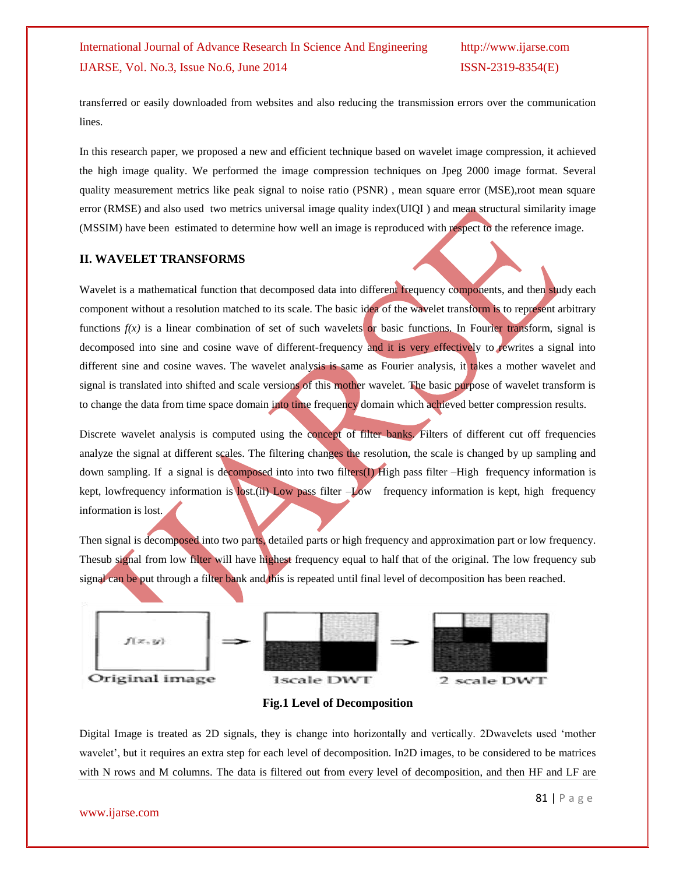transferred or easily downloaded from websites and also reducing the transmission errors over the communication lines.

In this research paper, we proposed a new and efficient technique based on wavelet image compression, it achieved the high image quality. We performed the image compression techniques on Jpeg 2000 image format. Several quality measurement metrics like peak signal to noise ratio (PSNR) , mean square error (MSE),root mean square error (RMSE) and also used two metrics universal image quality index(UIQI ) and mean structural similarity image (MSSIM) have been estimated to determine how well an image is reproduced with respect to the reference image.

#### **II. WAVELET TRANSFORMS**

Wavelet is a mathematical function that decomposed data into different frequency components, and then study each component without a resolution matched to its scale. The basic idea of the wavelet transform is to represent arbitrary functions  $f(x)$  is a linear combination of set of such wavelets or basic functions. In Fourier transform, signal is decomposed into sine and cosine wave of different-frequency and it is very effectively to rewrites a signal into different sine and cosine waves. The wavelet analysis is same as Fourier analysis, it takes a mother wavelet and signal is translated into shifted and scale versions of this mother wavelet. The basic purpose of wavelet transform is to change the data from time space domain into time frequency domain which achieved better compression results.

Discrete wavelet analysis is computed using the concept of filter banks. Filters of different cut off frequencies analyze the signal at different scales. The filtering changes the resolution, the scale is changed by up sampling and down sampling. If a signal is decomposed into into two filters(I) High pass filter –High frequency information is kept, lowfrequency information is lost.(ii) Low pass filter –Low frequency information is kept, high frequency information is lost.

Then signal is decomposed into two parts, detailed parts or high frequency and approximation part or low frequency. Thesub signal from low filter will have highest frequency equal to half that of the original. The low frequency sub signal can be put through a filter bank and this is repeated until final level of decomposition has been reached.





Digital Image is treated as 2D signals, they is change into horizontally and vertically. 2Dwavelets used "mother wavelet', but it requires an extra step for each level of decomposition. In2D images, to be considered to be matrices with N rows and M columns. The data is filtered out from every level of decomposition, and then HF and LF are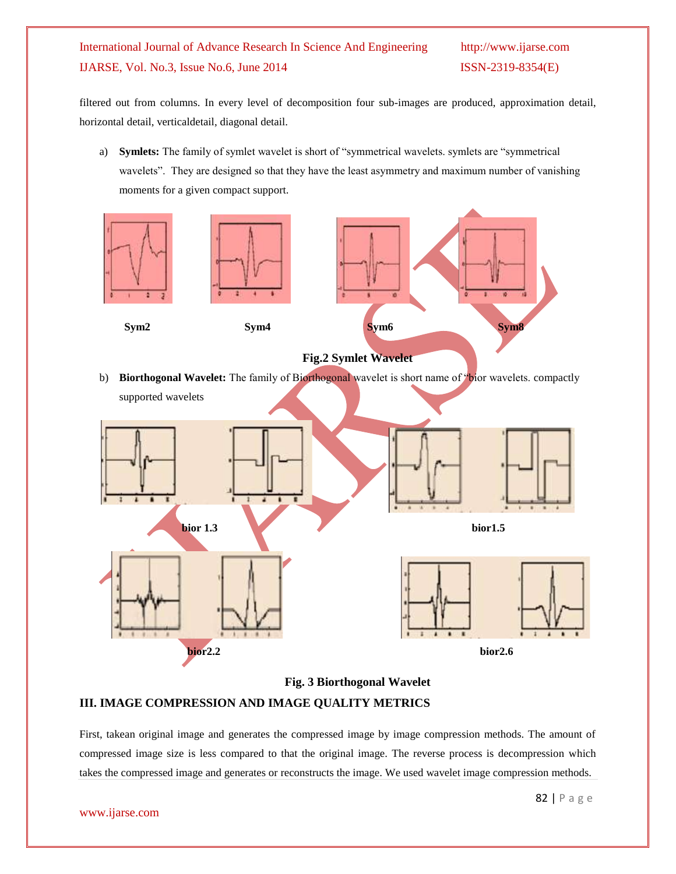filtered out from columns. In every level of decomposition four sub-images are produced, approximation detail, horizontal detail, verticaldetail, diagonal detail.

a) **Symlets:** The family of symlet wavelet is short of "symmetrical wavelets. symlets are "symmetrical wavelets". They are designed so that they have the least asymmetry and maximum number of vanishing moments for a given compact support.



**Fig. 3 Biorthogonal Wavelet**

#### **III. IMAGE COMPRESSION AND IMAGE QUALITY METRICS**

First, takean original image and generates the compressed image by image compression methods. The amount of compressed image size is less compared to that the original image. The reverse process is decompression which takes the compressed image and generates or reconstructs the image. We used wavelet image compression methods.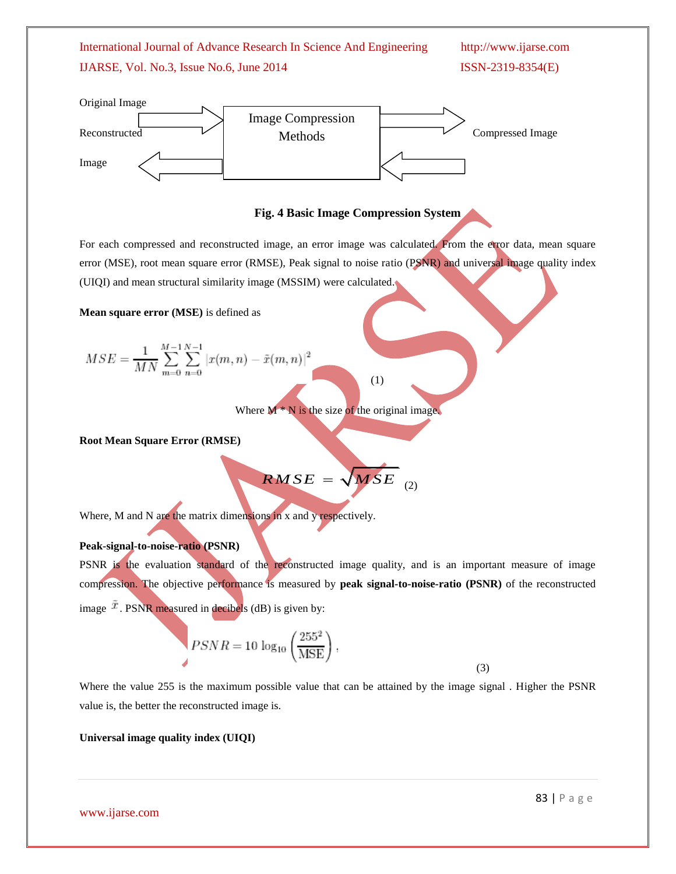

### **Fig. 4 Basic Image Compression System**

For each compressed and reconstructed image, an error image was calculated. From the error data, mean square error (MSE), root mean square error (RMSE), Peak signal to noise ratio (PSNR) and universal image quality index (UIQI) and mean structural similarity image (MSSIM) were calculated.

**Mean square error (MSE)** is defined as

$$
MSE = \frac{1}{MN} \sum_{m=0}^{M-1} \sum_{n=0}^{N-1} |x(m, n) - \tilde{x}(m, n)|^2
$$

(1)

Where  $M^*N$  is the size of the original image.

**Root Mean Square Error (RMSE)**

 $\overline{RMSE} = \sqrt{MSE}$ <sub>(2)</sub>

Where, M and N are the matrix dimensions in x and y respectively.

#### **Peak-signal-to-noise-ratio (PSNR)**

PSNR is the evaluation standard of the reconstructed image quality, and is an important measure of image compression. The objective performance is measured by **peak signal-to-noise-ratio (PSNR)** of the reconstructed image  $\bar{x}$ . PSNR measured in decibels (dB) is given by:

$$
PSNR = 10 \log_{10} \left(\frac{255^2}{MSE}\right),\tag{3}
$$

Where the value 255 is the maximum possible value that can be attained by the image signal . Higher the PSNR value is, the better the reconstructed image is.

#### **Universal image quality index (UIQI)**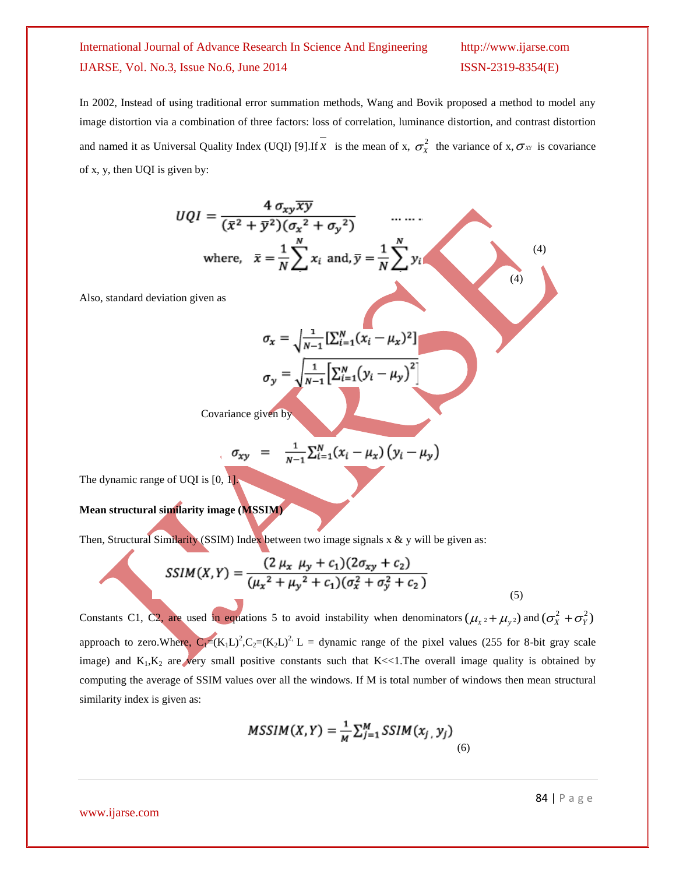In 2002, Instead of using traditional error summation methods, Wang and Bovik proposed a method to model any image distortion via a combination of three factors: loss of correlation, luminance distortion, and contrast distortion and named it as Universal Quality Index (UQI) [9]. If x is the mean of x,  $\sigma_X^2$  the variance of x,  $\sigma_X$  is covariance of x, y, then UQI is given by:

$$
UQI = \frac{4 \sigma_{xy} \overline{xy}}{(\overline{x}^2 + \overline{y}^2)(\sigma_x^2 + \sigma_y^2)}
$$
 ......  
\nwhere,  $\overline{x} = \frac{1}{N} \sum_{i=1}^{N} x_i$  and,  $\overline{y} = \frac{1}{N} \sum_{i=1}^{N} y_i$   
\nAlso, standard deviation given as  
\n
$$
\sigma_x = \sqrt{\frac{1}{N-1} [\sum_{i=1}^{N} (x_i - \mu_x)^2]}
$$
\n
$$
\sigma_y = \sqrt{\frac{1}{N-1} [\sum_{i=1}^{N} (y_i - \mu_y)^2]}
$$
\nCovariance given by

 $\sigma_{xy} = \frac{1}{N-1} \sum_{i=1}^{N} (x_i - \mu_x) (y_i - \mu_y)$ 

The dynamic range of UQI is  $[0, 1]$ .

**Mean structural similarity image (MSSIM)**

Then, Structural Similarity (SSIM) Index between two image signals  $x \& y$  will be given as:

$$
SSIM(X, Y) = \frac{(2 \mu_x \mu_y + c_1)(2\sigma_{xy} + c_2)}{(\mu_x^2 + \mu_y^2 + c_1)(\sigma_x^2 + \sigma_y^2 + c_2)}
$$
\n(5)

Constants C1, C2, are used in equations 5 to avoid instability when denominators  $(\mu_x \cdot + \mu_y \cdot)$  and  $(\sigma_x^2 + \sigma_y^2)$ approach to zero. Where,  $C_1=(K_1L)^2$ ,  $C_2=(K_2L)^2$ , L = dynamic range of the pixel values (255 for 8-bit gray scale image) and  $K_1, K_2$  are very small positive constants such that K<<1. The overall image quality is obtained by computing the average of SSIM values over all the windows. If M is total number of windows then mean structural similarity index is given as:

$$
MSSIM(X,Y) = \frac{1}{M} \sum_{j=1}^{M} SSIM(x_j, y_j)
$$
\n(6)

www.ijarse.com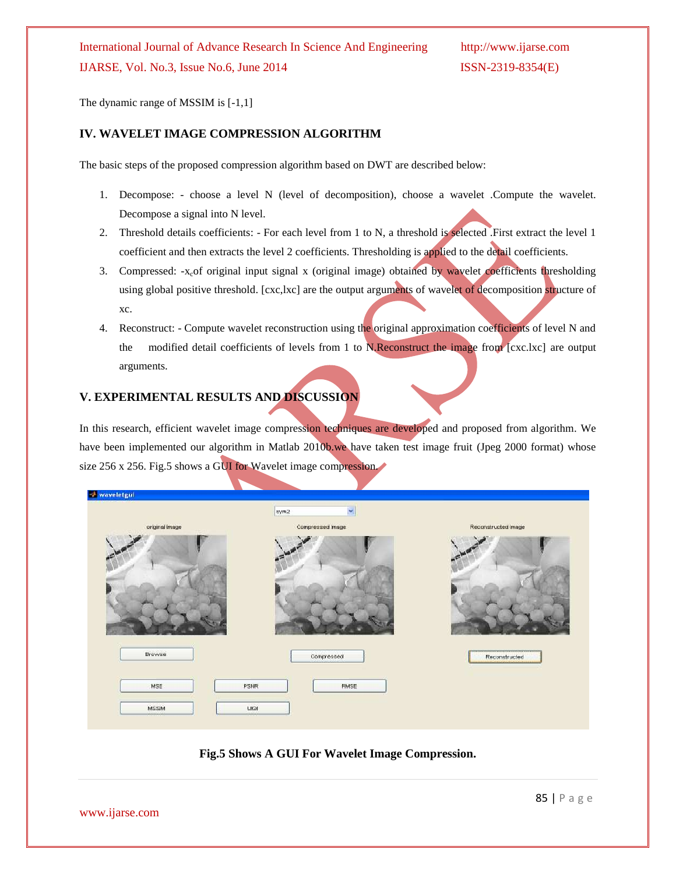The dynamic range of MSSIM is [-1,1]

#### **IV. WAVELET IMAGE COMPRESSION ALGORITHM**

The basic steps of the proposed compression algorithm based on DWT are described below:

- 1. Decompose: choose a level N (level of decomposition), choose a wavelet .Compute the wavelet. Decompose a signal into N level.
- 2. Threshold details coefficients: For each level from 1 to N, a threshold is selected .First extract the level 1 coefficient and then extracts the level 2 coefficients. Thresholding is applied to the detail coefficients.
- 3. Compressed:  $-x<sub>c</sub>$  original input signal x (original image) obtained by wavelet coefficients thresholding using global positive threshold. [cxc,lxc] are the output arguments of wavelet of decomposition structure of xc.
- 4. Reconstruct: Compute wavelet reconstruction using the original approximation coefficients of level N and the modified detail coefficients of levels from 1 to N.Reconstruct the image from [cxc.lxc] are output arguments.

#### **V. EXPERIMENTAL RESULTS AND DISCUSSION**

In this research, efficient wavelet image compression techniques are developed and proposed from algorithm. We have been implemented our algorithm in Matlab 2010b.we have taken test image fruit (Jpeg 2000 format) whose size 256 x 256. Fig.5 shows a GUI for Wavelet image compression.

| <b><i>M</i></b> waveletgui |                                   |                     |
|----------------------------|-----------------------------------|---------------------|
|                            | v.<br>sym2                        |                     |
| original Image             | Compressed Image                  | Reconstructed Image |
|                            |                                   |                     |
| Browse<br>MSE              | Compressed<br>PSNR<br><b>RMSE</b> | Reconstructed       |
| MSSIM                      | Lifet                             |                     |

#### **Fig.5 Shows A GUI For Wavelet Image Compression.**

www.ijarse.com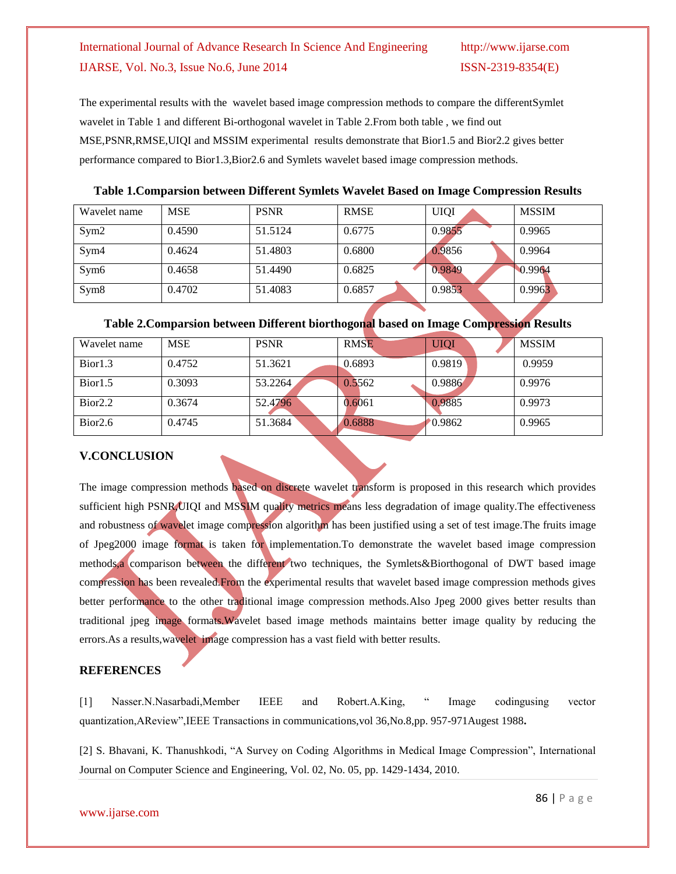The experimental results with the wavelet based image compression methods to compare the differentSymlet wavelet in Table 1 and different Bi-orthogonal wavelet in Table 2.From both table , we find out MSE,PSNR,RMSE,UIQI and MSSIM experimental results demonstrate that Bior1.5 and Bior2.2 gives better performance compared to Bior1.3,Bior2.6 and Symlets wavelet based image compression methods.

**Table 1.Comparsion between Different Symlets Wavelet Based on Image Compression Results**

| Wavelet name     | <b>MSE</b> | <b>PSNR</b> | <b>RMSE</b> | <b>UIQI</b> | <b>MSSIM</b> |
|------------------|------------|-------------|-------------|-------------|--------------|
| Sym2             | 0.4590     | 51.5124     | 0.6775      | 0.9855      | 0.9965       |
| Sym4             | 0.4624     | 51.4803     | 0.6800      | 0.9856      | 0.9964       |
| Sym <sub>6</sub> | 0.4658     | 51.4490     | 0.6825      | 0.9849      | 0.9964       |
| Sym <sub>8</sub> | 0.4702     | 51.4083     | 0.6857      | 0.9853      | 0.9963       |

#### **Table 2.Comparsion between Different biorthogonal based on Image Compression Results**

| Wavelet name        | <b>MSE</b> | <b>PSNR</b> | <b>RMSE</b> | UIQI   | <b>MSSIM</b> |
|---------------------|------------|-------------|-------------|--------|--------------|
| Bior1.3             | 0.4752     | 51.3621     | 0.6893      | 0.9819 | 0.9959       |
| Bior1.5             | 0.3093     | 53.2264     | 0.5562      | 0.9886 | 0.9976       |
| Bior <sub>2.2</sub> | 0.3674     | 52.4796     | 0.6061      | 0.9885 | 0.9973       |
| Bior2.6             | 0.4745     | 51.3684     | 0.6888      | 0.9862 | 0.9965       |

### **V.CONCLUSION**

The image compression methods based on discrete wavelet transform is proposed in this research which provides sufficient high PSNR UIQI and MSSIM quality metrics means less degradation of image quality. The effectiveness and robustness of wavelet image compression algorithm has been justified using a set of test image.The fruits image of Jpeg2000 image format is taken for implementation.To demonstrate the wavelet based image compression methods,a comparison between the different two techniques, the Symlets&Biorthogonal of DWT based image compression has been revealed.From the experimental results that wavelet based image compression methods gives better performance to the other traditional image compression methods.Also Jpeg 2000 gives better results than traditional jpeg image formats.Wavelet based image methods maintains better image quality by reducing the errors.As a results,wavelet image compression has a vast field with better results.

#### **REFERENCES**

[1] Nasser.N.Nasarbadi,Member IEEE and Robert.A.King, " Image codingusing vector quantization,AReview",IEEE Transactions in communications,vol 36,No.8,pp. 957-971Augest 1988**.**

[2] S. Bhavani, K. Thanushkodi, "A Survey on Coding Algorithms in Medical Image Compression", International Journal on Computer Science and Engineering, Vol. 02, No. 05, pp. 1429-1434, 2010.